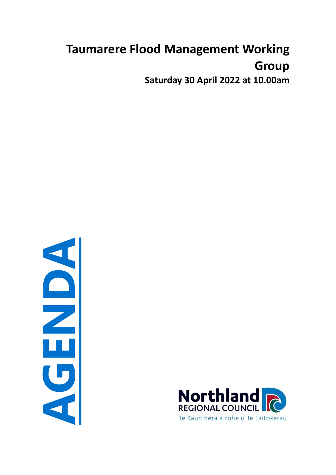# **Taumarere Flood Management Working Group Saturday 30 April 2022 at 10.00am**

**AGENDA**

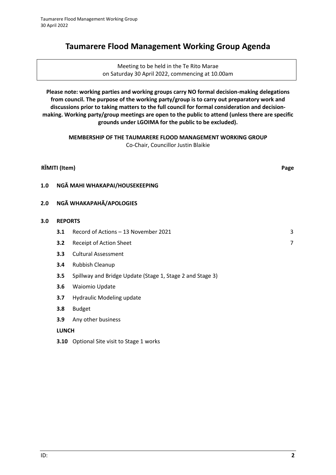# **Taumarere Flood Management Working Group Agenda**

Meeting to be held in the Te Rito Marae on Saturday 30 April 2022, commencing at 10.00am

**Please note: working parties and working groups carry NO formal decision-making delegations from council. The purpose of the working party/group is to carry out preparatory work and discussions prior to taking matters to the full council for formal consideration and decisionmaking. Working party/group meetings are open to the public to attend (unless there are specific grounds under LGOIMA for the public to be excluded).**

> **MEMBERSHIP OF THE TAUMARERE FLOOD MANAGEMENT WORKING GROUP** Co-Chair, Councillor Justin Blaikie

|     | RĪMITI (Item)                  |                                                           | Page |  |  |  |  |  |
|-----|--------------------------------|-----------------------------------------------------------|------|--|--|--|--|--|
| 1.0 | NGĀ MAHI WHAKAPAI/HOUSEKEEPING |                                                           |      |  |  |  |  |  |
| 2.0 |                                | NGĀ WHAKAPAHĀ/APOLOGIES                                   |      |  |  |  |  |  |
| 3.0 | <b>REPORTS</b>                 |                                                           |      |  |  |  |  |  |
|     | 3.1                            | Record of Actions - 13 November 2021                      | 3    |  |  |  |  |  |
|     | 3.2                            | Receipt of Action Sheet                                   | 7    |  |  |  |  |  |
|     | 3.3                            | <b>Cultural Assessment</b>                                |      |  |  |  |  |  |
|     | 3.4                            | Rubbish Cleanup                                           |      |  |  |  |  |  |
|     | 3.5                            | Spillway and Bridge Update (Stage 1, Stage 2 and Stage 3) |      |  |  |  |  |  |
|     | 3.6                            | Waiomio Update                                            |      |  |  |  |  |  |
|     | 3.7                            | Hydraulic Modeling update                                 |      |  |  |  |  |  |
|     | 3.8                            | <b>Budget</b>                                             |      |  |  |  |  |  |
|     | 3.9                            | Any other business                                        |      |  |  |  |  |  |
|     | <b>LUNCH</b>                   |                                                           |      |  |  |  |  |  |
|     |                                | 3.10 Optional Site visit to Stage 1 works                 |      |  |  |  |  |  |
|     |                                |                                                           |      |  |  |  |  |  |
|     |                                |                                                           |      |  |  |  |  |  |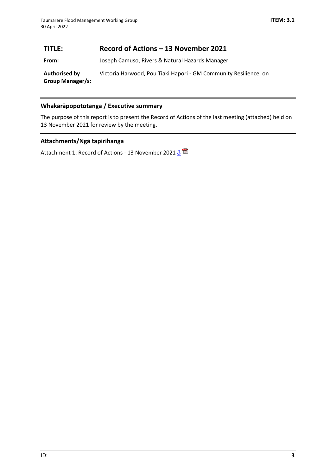# <span id="page-2-0"></span>**TITLE: Record of Actions – 13 November 2021**

**From:** Joseph Camuso, Rivers & Natural Hazards Manager

**Authorised by Group Manager/s:** Victoria Harwood, Pou Tiaki Hapori - GM Community Resilience, on

# **Whakarāpopototanga / Executive summary**

The purpose of this report is to present the Record of Actions of the last meeting (attached) held on 13 November 2021 for review by the meeting.

# **Attachments/Ngā tapirihanga**

Attachment 1: Record of Actions - 13 November 2021  $\underline{\mathbb{R}}$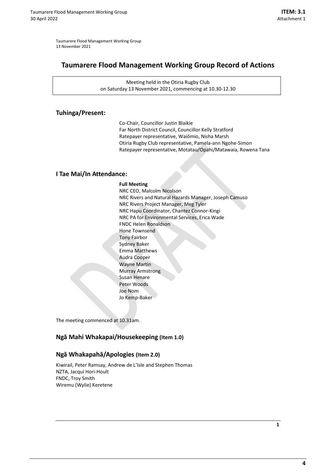<span id="page-3-0"></span>Taumarere Flood Management Working Group 13 November 2021

# **Taumarere Flood Management Working Group Record of Actions**

Meeting held in the Otiria Rugby Club on Saturday 13 November 2021, commencing at 10.30-12.30

#### **Tuhinga/Present:**

Co-Chair, Councillor Justin Blaikie Far North District Council, Councillor Kelly Stratford Ratepayer representative, Waiōmio, Nisha Marsh Otiria Rugby Club representative, Pamela-ann Ngohe-Simon Ratepayer representative, Motatau/Opahi/Matawaia, Rowena Tana

#### **I Tae Mai/In Attendance:**

#### **Full Meeting**

NRC CEO, Malcolm Nicolson NRC Rivers and Natural Hazards Manager, Joseph Camuso NRC Rivers Project Manager, Meg Tyler NRC Hapu Coordinator, Chantez Connor-Kingi NRC PA for Environmental Services, Erica Wade FNDC Helen Ronaldson Hone Townsend Tony Fairbor Sydney Baker Emma Matthews Audra Cooper Wayne Martin Murray Armstrong Susan Henare Peter Woods Joe Nom Jo Kemp-Baker

The meeting commenced at 10.31am.

#### **Ngā Mahi Whakapai/Housekeeping (Item 1.0)**

#### **Ngā Whakapahā/Apologies (Item 2.0)**

Kiwirail, Peter Ramsay, Andrew de L'Isle and Stephen Thomas NZTA, Jacqui Hori-Hoult FNDC, Troy Smith Wiremu (Wylie) Keretene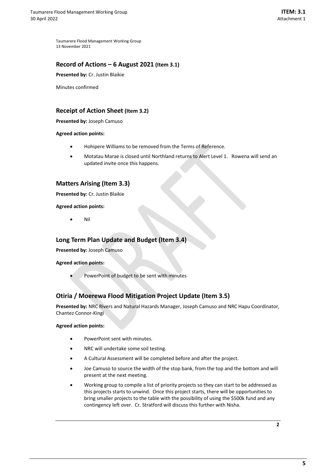Taumarere Flood Management Working Group 13 November 2021

#### **Record of Actions – 6 August 2021 (Item 3.1)**

**Presented by:** Cr. Justin Blaikie

Minutes confirmed

## **Receipt of Action Sheet (Item 3.2)**

**Presented by:** Joseph Camuso

**Agreed action points:** 

- Hohipere Williams to be removed from the Terms of Reference.
- Motatau Marae is closed until Northland returns to Alert Level 1. Rowena will send an updated invite once this happens.

## **Matters Arising (Item 3.3)**

**Presented by:** Cr. Justin Blaikie

**Agreed action points:** 

• Nil

#### **Long Term Plan Update and Budget (Item 3.4)**

**Presented by:** Joseph Camuso

**Agreed action points:** 

PowerPoint of budget to be sent with minutes

## **Otiria / Moerewa Flood Mitigation Project Update (Item 3.5)**

**Presented by:** NRC Rivers and Natural Hazards Manager, Joseph Camuso and NRC Hapu Coordinator, Chantez Connor-Kingi

#### **Agreed action points:**

- PowerPoint sent with minutes.
- NRC will undertake some soil testing.
- A Cultural Assessment will be completed before and after the project.
- Joe Camuso to source the width of the stop bank, from the top and the bottom and will present at the next meeting.
- Working group to compile a list of priority projects so they can start to be addressed as this projects starts to unwind. Once this project starts, there will be opportunities to bring smaller projects to the table with the possibility of using the \$500k fund and any contingency left over. Cr. Stratford will discuss this further with Nisha.

**2**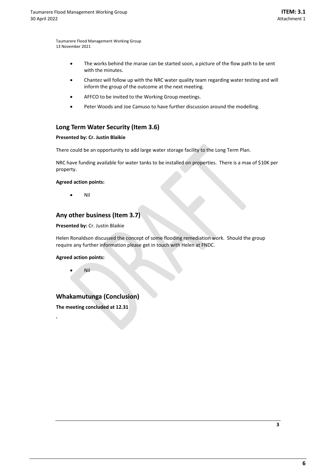Taumarere Flood Management Working Group 13 November 2021

- The works behind the marae can be started soon, a picture of the flow path to be sent with the minutes.
- Chantez will follow up with the NRC water quality team regarding water testing and will inform the group of the outcome at the next meeting.
- AFFCO to be invited to the Working Group meetings.
- Peter Woods and Joe Camuso to have further discussion around the modelling.

## **Long Term Water Security (Item 3.6)**

#### **Presented by: Cr. Justin Blaikie**

There could be an opportunity to add large water storage facility to the Long Term Plan.

NRC have funding available for water tanks to be installed on properties. There is a max of \$10K per property.

#### **Agreed action points:**

• Nil

#### **Any other business (Item 3.7)**

**Presented by:** Cr. Justin Blaikie

Helen Ronaldson discussed the concept of some flooding remediation work. Should the group require any further information please get in touch with Helen at FNDC.

#### **Agreed action points:**

• Nil

**.**

## **Whakamutunga (Conclusion)**

**The meeting concluded at 12.31**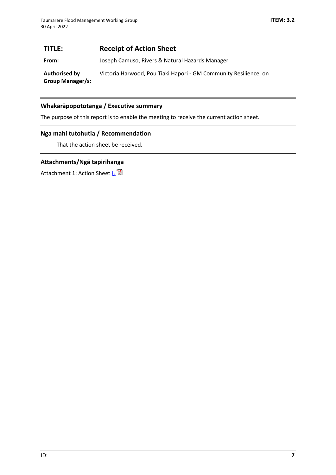# <span id="page-6-0"></span>**TITLE: Receipt of Action Sheet**

**From:** Joseph Camuso, Rivers & Natural Hazards Manager

**Authorised by Group Manager/s:** Victoria Harwood, Pou Tiaki Hapori - GM Community Resilience, on

#### **Whakarāpopototanga / Executive summary**

The purpose of this report is to enable the meeting to receive the current action sheet.

#### **Nga mahi tutohutia / Recommendation**

That the action sheet be received.

## **Attachments/Ngā tapirihanga**

Attachment 1: Action Sheet  $\mathbf{B}^{\square}$